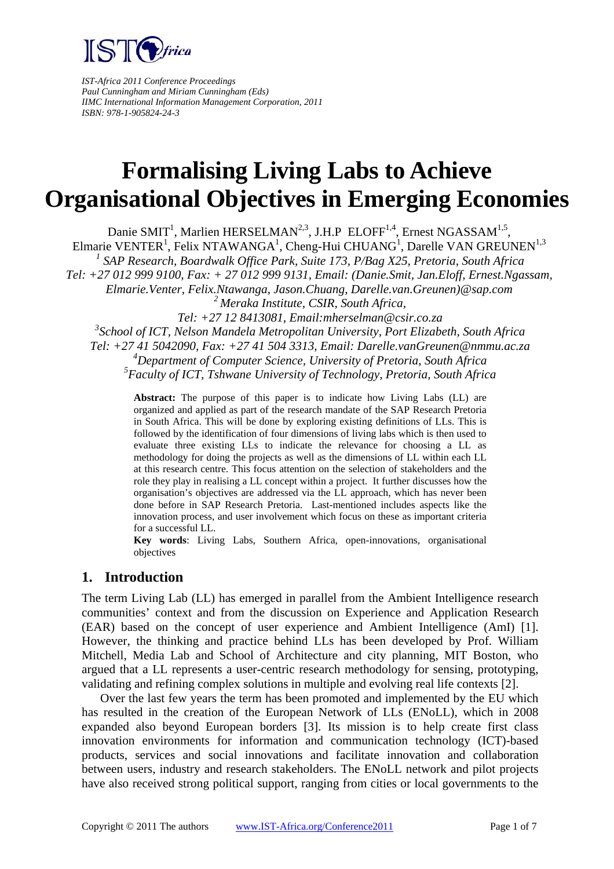

*IST-Africa 2011 Conference Proceedings Paul Cunningham and Miriam Cunningham (Eds) IIMC International Information Management Corporation, 2011 ISBN: 978-1-905824-24-3*

# **Formalising Living Labs to Achieve Organisational Objectives in Emerging Economies**

Danie SMIT<sup>1</sup>, Marlien HERSELMAN<sup>2,3</sup>, J.H.P ELOFF<sup>1,4</sup>, Ernest NGASSAM<sup>1,5</sup>, Elmarie VENTER<sup>1</sup>, Felix NTAWANGA<sup>1</sup>, Cheng-Hui CHUANG<sup>1</sup>, Darelle VAN GREUNEN<sup>1,3</sup> <sup>1</sup> SAP Research, Boardwalk Office Park, Suite 173, P/Bag X25, Pretoria, South Africa *Tel: +27 012 999 9100, Fax: + 27 012 999 9131, Email: (Danie.Smit, Jan.Eloff, Ernest.Ngassam, Elmarie.Venter, Felix.Ntawanga, Jason.Chuang, Darelle.van.Greunen)@sap.com 2 Meraka Institute, CSIR, South Africa, Tel: +27 12 8413081, Email:mherselman@csir.co.za 3 School of ICT, Nelson Mandela Metropolitan University, Port Elizabeth, South Africa Tel: +27 41 5042090, Fax: +27 41 504 3313, Email: Darelle.vanGreunen@nmmu.ac.za 4 Department of Computer Science, University of Pretoria, South Africa 5 Faculty of ICT, Tshwane University of Technology, Pretoria, South Africa* 

> **Abstract:** The purpose of this paper is to indicate how Living Labs (LL) are organized and applied as part of the research mandate of the SAP Research Pretoria in South Africa. This will be done by exploring existing definitions of LLs. This is followed by the identification of four dimensions of living labs which is then used to evaluate three existing LLs to indicate the relevance for choosing a LL as methodology for doing the projects as well as the dimensions of LL within each LL at this research centre. This focus attention on the selection of stakeholders and the role they play in realising a LL concept within a project. It further discusses how the organisation's objectives are addressed via the LL approach, which has never been done before in SAP Research Pretoria. Last-mentioned includes aspects like the innovation process, and user involvement which focus on these as important criteria for a successful LL.

> **Key words**: Living Labs, Southern Africa, open-innovations, organisational objectives

## **1. Introduction**

The term Living Lab (LL) has emerged in parallel from the Ambient Intelligence research communities' context and from the discussion on Experience and Application Research (EAR) based on the concept of user experience and Ambient Intelligence (AmI) [1]. However, the thinking and practice behind LLs has been developed by Prof. William Mitchell, Media Lab and School of Architecture and city planning, MIT Boston, who argued that a LL represents a user-centric research methodology for sensing, prototyping, validating and refining complex solutions in multiple and evolving real life contexts [2].

Over the last few years the term has been promoted and implemented by the EU which has resulted in the creation of the European Network of LLs (ENoLL), which in 2008 expanded also beyond European borders [3]. Its mission is to help create first class innovation environments for information and communication technology (ICT)-based products, services and social innovations and facilitate innovation and collaboration between users, industry and research stakeholders. The ENoLL network and pilot projects have also received strong political support, ranging from cities or local governments to the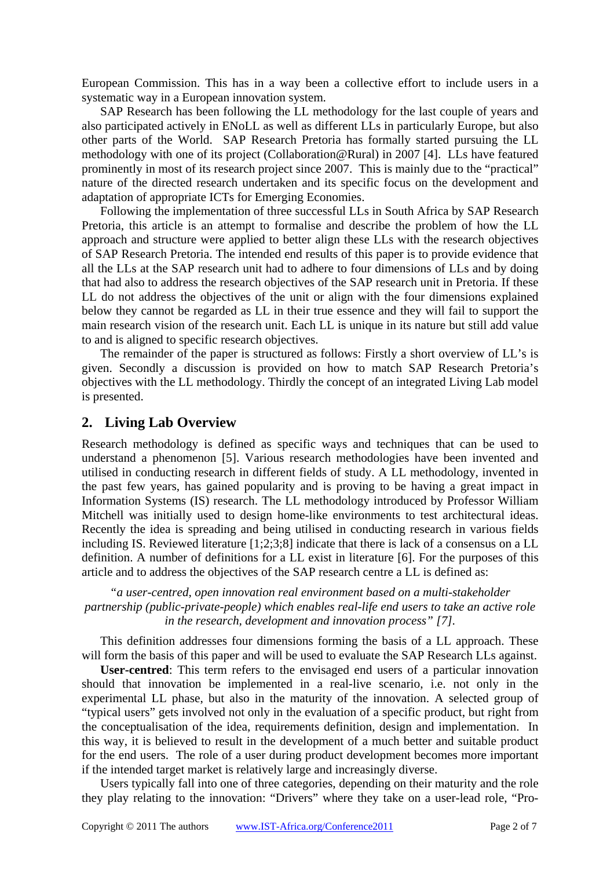European Commission. This has in a way been a collective effort to include users in a systematic way in a European innovation system.

SAP Research has been following the LL methodology for the last couple of years and also participated actively in ENoLL as well as different LLs in particularly Europe, but also other parts of the World. SAP Research Pretoria has formally started pursuing the LL methodology with one of its project (Collaboration@Rural) in 2007 [4]. LLs have featured prominently in most of its research project since 2007. This is mainly due to the "practical" nature of the directed research undertaken and its specific focus on the development and adaptation of appropriate ICTs for Emerging Economies.

Following the implementation of three successful LLs in South Africa by SAP Research Pretoria, this article is an attempt to formalise and describe the problem of how the LL approach and structure were applied to better align these LLs with the research objectives of SAP Research Pretoria. The intended end results of this paper is to provide evidence that all the LLs at the SAP research unit had to adhere to four dimensions of LLs and by doing that had also to address the research objectives of the SAP research unit in Pretoria. If these LL do not address the objectives of the unit or align with the four dimensions explained below they cannot be regarded as LL in their true essence and they will fail to support the main research vision of the research unit. Each LL is unique in its nature but still add value to and is aligned to specific research objectives.

The remainder of the paper is structured as follows: Firstly a short overview of LL's is given. Secondly a discussion is provided on how to match SAP Research Pretoria's objectives with the LL methodology. Thirdly the concept of an integrated Living Lab model is presented.

### **2. Living Lab Overview**

Research methodology is defined as specific ways and techniques that can be used to understand a phenomenon [5]. Various research methodologies have been invented and utilised in conducting research in different fields of study. A LL methodology, invented in the past few years, has gained popularity and is proving to be having a great impact in Information Systems (IS) research. The LL methodology introduced by Professor William Mitchell was initially used to design home-like environments to test architectural ideas. Recently the idea is spreading and being utilised in conducting research in various fields including IS. Reviewed literature [1;2;3;8] indicate that there is lack of a consensus on a LL definition. A number of definitions for a LL exist in literature [6]. For the purposes of this article and to address the objectives of the SAP research centre a LL is defined as:

#### *"a user-centred, open innovation real environment based on a multi-stakeholder partnership (public-private-people) which enables real-life end users to take an active role in the research, development and innovation process" [7].*

This definition addresses four dimensions forming the basis of a LL approach. These will form the basis of this paper and will be used to evaluate the SAP Research LLs against.

**User-centred**: This term refers to the envisaged end users of a particular innovation should that innovation be implemented in a real-live scenario, i.e. not only in the experimental LL phase, but also in the maturity of the innovation. A selected group of "typical users" gets involved not only in the evaluation of a specific product, but right from the conceptualisation of the idea, requirements definition, design and implementation. In this way, it is believed to result in the development of a much better and suitable product for the end users. The role of a user during product development becomes more important if the intended target market is relatively large and increasingly diverse.

Users typically fall into one of three categories, depending on their maturity and the role they play relating to the innovation: "Drivers" where they take on a user-lead role, "Pro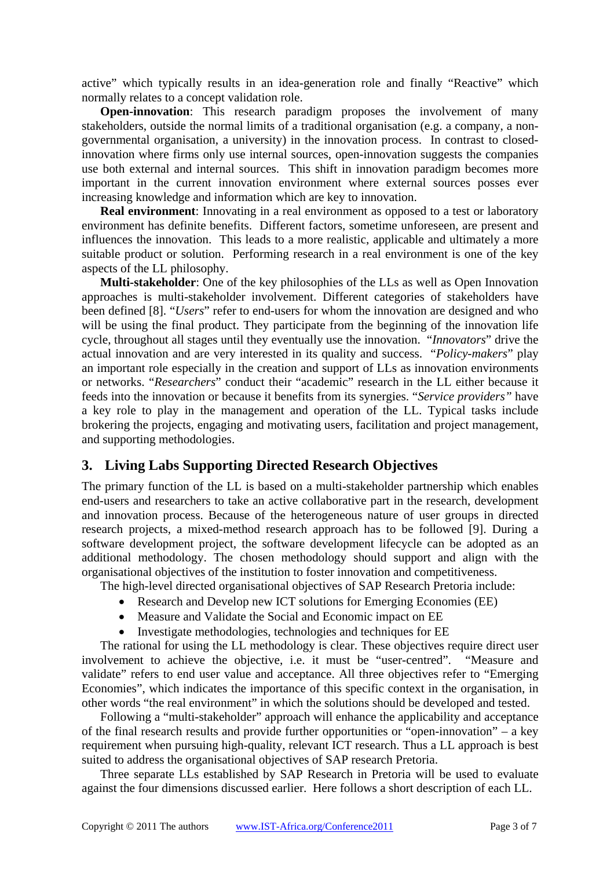active" which typically results in an idea-generation role and finally "Reactive" which normally relates to a concept validation role.

**Open-innovation**: This research paradigm proposes the involvement of many stakeholders, outside the normal limits of a traditional organisation (e.g. a company, a nongovernmental organisation, a university) in the innovation process. In contrast to closedinnovation where firms only use internal sources, open-innovation suggests the companies use both external and internal sources. This shift in innovation paradigm becomes more important in the current innovation environment where external sources posses ever increasing knowledge and information which are key to innovation.

**Real environment**: Innovating in a real environment as opposed to a test or laboratory environment has definite benefits. Different factors, sometime unforeseen, are present and influences the innovation. This leads to a more realistic, applicable and ultimately a more suitable product or solution. Performing research in a real environment is one of the key aspects of the LL philosophy.

**Multi-stakeholder**: One of the key philosophies of the LLs as well as Open Innovation approaches is multi-stakeholder involvement. Different categories of stakeholders have been defined [8]. "*Users*" refer to end-users for whom the innovation are designed and who will be using the final product. They participate from the beginning of the innovation life cycle, throughout all stages until they eventually use the innovation. "*Innovators*" drive the actual innovation and are very interested in its quality and success. "*Policy-makers*" play an important role especially in the creation and support of LLs as innovation environments or networks. "*Researchers*" conduct their "academic" research in the LL either because it feeds into the innovation or because it benefits from its synergies. "*Service providers"* have a key role to play in the management and operation of the LL. Typical tasks include brokering the projects, engaging and motivating users, facilitation and project management, and supporting methodologies.

#### **3. Living Labs Supporting Directed Research Objectives**

The primary function of the LL is based on a multi-stakeholder partnership which enables end-users and researchers to take an active collaborative part in the research, development and innovation process. Because of the heterogeneous nature of user groups in directed research projects, a mixed-method research approach has to be followed [9]. During a software development project, the software development lifecycle can be adopted as an additional methodology. The chosen methodology should support and align with the organisational objectives of the institution to foster innovation and competitiveness.

The high-level directed organisational objectives of SAP Research Pretoria include:

- Research and Develop new ICT solutions for Emerging Economies (EE)
- Measure and Validate the Social and Economic impact on EE
- Investigate methodologies, technologies and techniques for EE

The rational for using the LL methodology is clear. These objectives require direct user involvement to achieve the objective, i.e. it must be "user-centred". "Measure and validate" refers to end user value and acceptance. All three objectives refer to "Emerging Economies", which indicates the importance of this specific context in the organisation, in other words "the real environment" in which the solutions should be developed and tested.

Following a "multi-stakeholder" approach will enhance the applicability and acceptance of the final research results and provide further opportunities or "open-innovation" – a key requirement when pursuing high-quality, relevant ICT research. Thus a LL approach is best suited to address the organisational objectives of SAP research Pretoria.

Three separate LLs established by SAP Research in Pretoria will be used to evaluate against the four dimensions discussed earlier. Here follows a short description of each LL.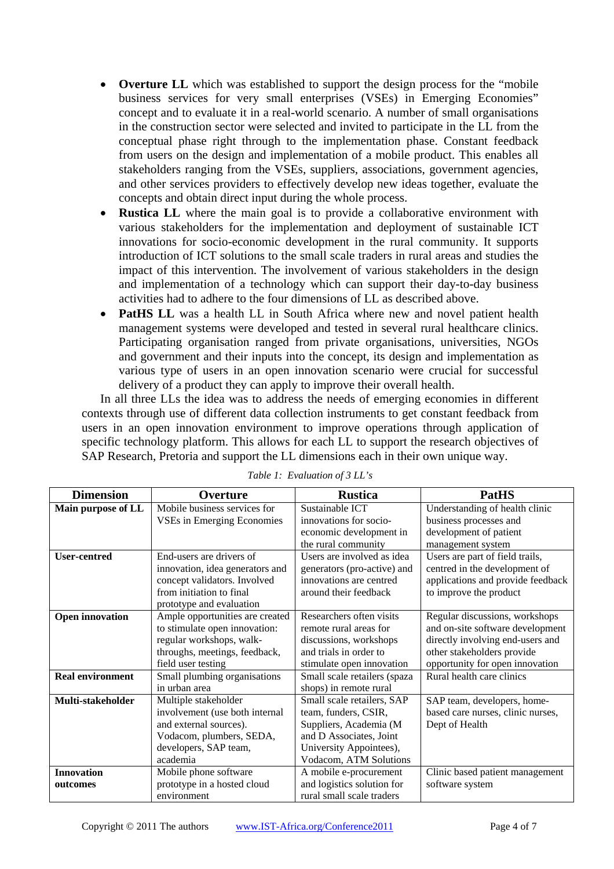- **Overture LL** which was established to support the design process for the "mobile" business services for very small enterprises (VSEs) in Emerging Economies" concept and to evaluate it in a real-world scenario. A number of small organisations in the construction sector were selected and invited to participate in the LL from the conceptual phase right through to the implementation phase. Constant feedback from users on the design and implementation of a mobile product. This enables all stakeholders ranging from the VSEs, suppliers, associations, government agencies, and other services providers to effectively develop new ideas together, evaluate the concepts and obtain direct input during the whole process.
- **Rustica LL** where the main goal is to provide a collaborative environment with various stakeholders for the implementation and deployment of sustainable ICT innovations for socio-economic development in the rural community. It supports introduction of ICT solutions to the small scale traders in rural areas and studies the impact of this intervention. The involvement of various stakeholders in the design and implementation of a technology which can support their day-to-day business activities had to adhere to the four dimensions of LL as described above.
- **PatHS LL** was a health LL in South Africa where new and novel patient health management systems were developed and tested in several rural healthcare clinics. Participating organisation ranged from private organisations, universities, NGOs and government and their inputs into the concept, its design and implementation as various type of users in an open innovation scenario were crucial for successful delivery of a product they can apply to improve their overall health.

In all three LLs the idea was to address the needs of emerging economies in different contexts through use of different data collection instruments to get constant feedback from users in an open innovation environment to improve operations through application of specific technology platform. This allows for each LL to support the research objectives of SAP Research, Pretoria and support the LL dimensions each in their own unique way.

| <b>Dimension</b>        | Overture                          | <b>Rustica</b>               | <b>PatHS</b>                      |
|-------------------------|-----------------------------------|------------------------------|-----------------------------------|
| Main purpose of LL      | Mobile business services for      | Sustainable ICT              | Understanding of health clinic    |
|                         | <b>VSEs in Emerging Economies</b> | innovations for socio-       | business processes and            |
|                         |                                   | economic development in      | development of patient            |
|                         |                                   | the rural community          | management system                 |
| <b>User-centred</b>     | End-users are drivers of          | Users are involved as idea   | Users are part of field trails,   |
|                         | innovation, idea generators and   | generators (pro-active) and  | centred in the development of     |
|                         | concept validators. Involved      | innovations are centred      | applications and provide feedback |
|                         | from initiation to final          | around their feedback        | to improve the product            |
|                         | prototype and evaluation          |                              |                                   |
| <b>Open innovation</b>  | Ample opportunities are created   | Researchers often visits     | Regular discussions, workshops    |
|                         | to stimulate open innovation:     | remote rural areas for       | and on-site software development  |
|                         | regular workshops, walk-          | discussions, workshops       | directly involving end-users and  |
|                         | throughs, meetings, feedback,     | and trials in order to       | other stakeholders provide        |
|                         | field user testing                | stimulate open innovation    | opportunity for open innovation   |
| <b>Real environment</b> | Small plumbing organisations      | Small scale retailers (spaza | Rural health care clinics         |
|                         | in urban area                     | shops) in remote rural       |                                   |
| Multi-stakeholder       | Multiple stakeholder              | Small scale retailers, SAP   | SAP team, developers, home-       |
|                         | involvement (use both internal    | team, funders, CSIR,         | based care nurses, clinic nurses, |
|                         | and external sources).            | Suppliers, Academia (M       | Dept of Health                    |
|                         | Vodacom, plumbers, SEDA,          | and D Associates, Joint      |                                   |
|                         | developers, SAP team,             | University Appointees),      |                                   |
|                         | academia                          | Vodacom, ATM Solutions       |                                   |
| <b>Innovation</b>       | Mobile phone software             | A mobile e-procurement       | Clinic based patient management   |
| outcomes                | prototype in a hosted cloud       | and logistics solution for   | software system                   |
|                         | environment                       | rural small scale traders    |                                   |

*Table 1: Evaluation of 3 LL's*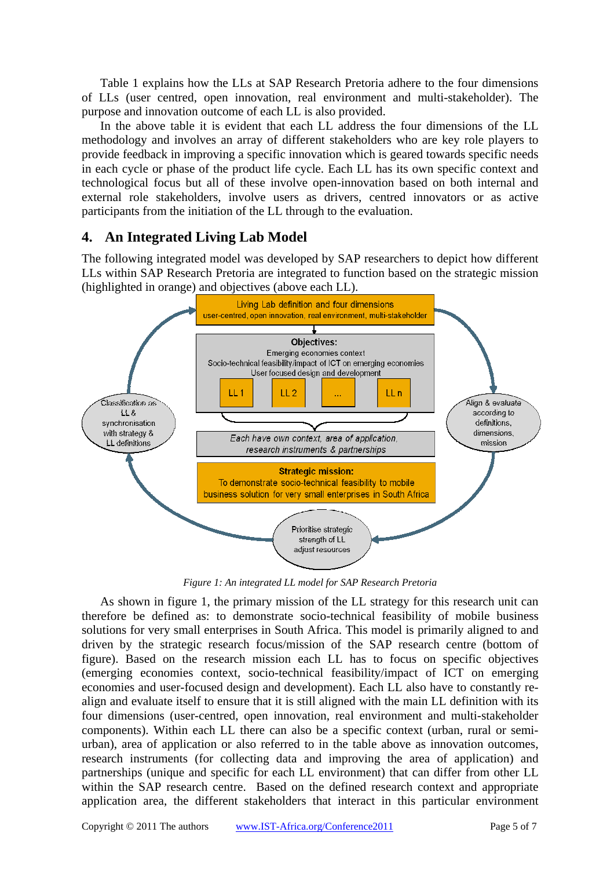Table 1 explains how the LLs at SAP Research Pretoria adhere to the four dimensions of LLs (user centred, open innovation, real environment and multi-stakeholder). The purpose and innovation outcome of each LL is also provided.

In the above table it is evident that each LL address the four dimensions of the LL methodology and involves an array of different stakeholders who are key role players to provide feedback in improving a specific innovation which is geared towards specific needs in each cycle or phase of the product life cycle. Each LL has its own specific context and technological focus but all of these involve open-innovation based on both internal and external role stakeholders, involve users as drivers, centred innovators or as active participants from the initiation of the LL through to the evaluation.

## **4. An Integrated Living Lab Model**

The following integrated model was developed by SAP researchers to depict how different LLs within SAP Research Pretoria are integrated to function based on the strategic mission (highlighted in orange) and objectives (above each LL).



*Figure 1: An integrated LL model for SAP Research Pretoria*

As shown in figure 1, the primary mission of the LL strategy for this research unit can therefore be defined as: to demonstrate socio-technical feasibility of mobile business solutions for very small enterprises in South Africa. This model is primarily aligned to and driven by the strategic research focus/mission of the SAP research centre (bottom of figure). Based on the research mission each LL has to focus on specific objectives (emerging economies context, socio-technical feasibility/impact of ICT on emerging economies and user-focused design and development). Each LL also have to constantly realign and evaluate itself to ensure that it is still aligned with the main LL definition with its four dimensions (user-centred, open innovation, real environment and multi-stakeholder components). Within each LL there can also be a specific context (urban, rural or semiurban), area of application or also referred to in the table above as innovation outcomes, research instruments (for collecting data and improving the area of application) and partnerships (unique and specific for each LL environment) that can differ from other LL within the SAP research centre. Based on the defined research context and appropriate application area, the different stakeholders that interact in this particular environment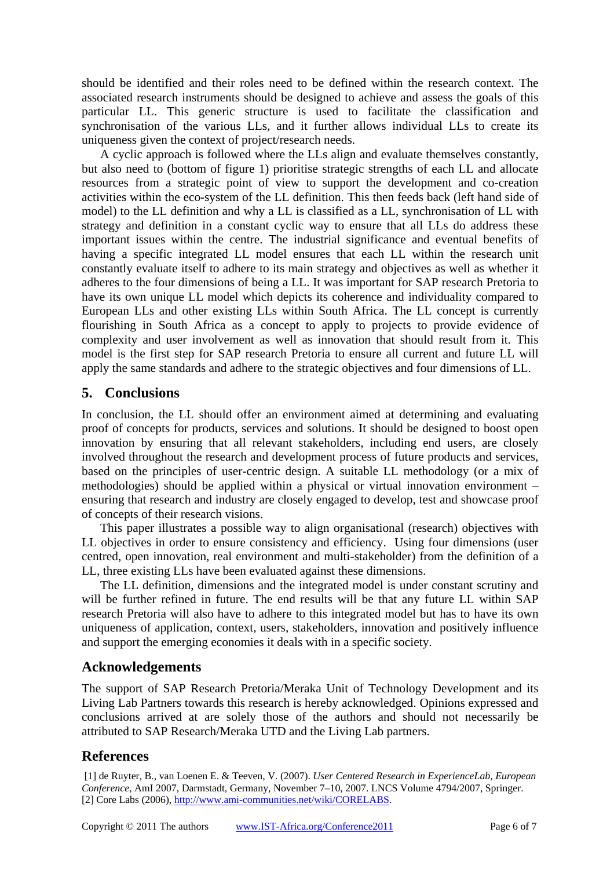should be identified and their roles need to be defined within the research context. The associated research instruments should be designed to achieve and assess the goals of this particular LL. This generic structure is used to facilitate the classification and synchronisation of the various LLs, and it further allows individual LLs to create its uniqueness given the context of project/research needs.

A cyclic approach is followed where the LLs align and evaluate themselves constantly, but also need to (bottom of figure 1) prioritise strategic strengths of each LL and allocate resources from a strategic point of view to support the development and co-creation activities within the eco-system of the LL definition. This then feeds back (left hand side of model) to the LL definition and why a LL is classified as a LL, synchronisation of LL with strategy and definition in a constant cyclic way to ensure that all LLs do address these important issues within the centre. The industrial significance and eventual benefits of having a specific integrated LL model ensures that each LL within the research unit constantly evaluate itself to adhere to its main strategy and objectives as well as whether it adheres to the four dimensions of being a LL. It was important for SAP research Pretoria to have its own unique LL model which depicts its coherence and individuality compared to European LLs and other existing LLs within South Africa. The LL concept is currently flourishing in South Africa as a concept to apply to projects to provide evidence of complexity and user involvement as well as innovation that should result from it. This model is the first step for SAP research Pretoria to ensure all current and future LL will apply the same standards and adhere to the strategic objectives and four dimensions of LL.

### **5. Conclusions**

In conclusion, the LL should offer an environment aimed at determining and evaluating proof of concepts for products, services and solutions. It should be designed to boost open innovation by ensuring that all relevant stakeholders, including end users, are closely involved throughout the research and development process of future products and services, based on the principles of user-centric design. A suitable LL methodology (or a mix of methodologies) should be applied within a physical or virtual innovation environment – ensuring that research and industry are closely engaged to develop, test and showcase proof of concepts of their research visions.

This paper illustrates a possible way to align organisational (research) objectives with LL objectives in order to ensure consistency and efficiency. Using four dimensions (user centred, open innovation, real environment and multi-stakeholder) from the definition of a LL, three existing LLs have been evaluated against these dimensions.

The LL definition, dimensions and the integrated model is under constant scrutiny and will be further refined in future. The end results will be that any future LL within SAP research Pretoria will also have to adhere to this integrated model but has to have its own uniqueness of application, context, users, stakeholders, innovation and positively influence and support the emerging economies it deals with in a specific society.

#### **Acknowledgements**

The support of SAP Research Pretoria/Meraka Unit of Technology Development and its Living Lab Partners towards this research is hereby acknowledged. Opinions expressed and conclusions arrived at are solely those of the authors and should not necessarily be attributed to SAP Research/Meraka UTD and the Living Lab partners.

## **References**

 [1] de Ruyter, B., van Loenen E. & Teeven, V. (2007). *User Centered Research in ExperienceLab, European Conference*, AmI 2007, Darmstadt, Germany, November 7–10, 2007. LNCS Volume 4794/2007, Springer. [2] Core Labs (2006), <http://www.ami-communities.net/wiki/CORELABS>.